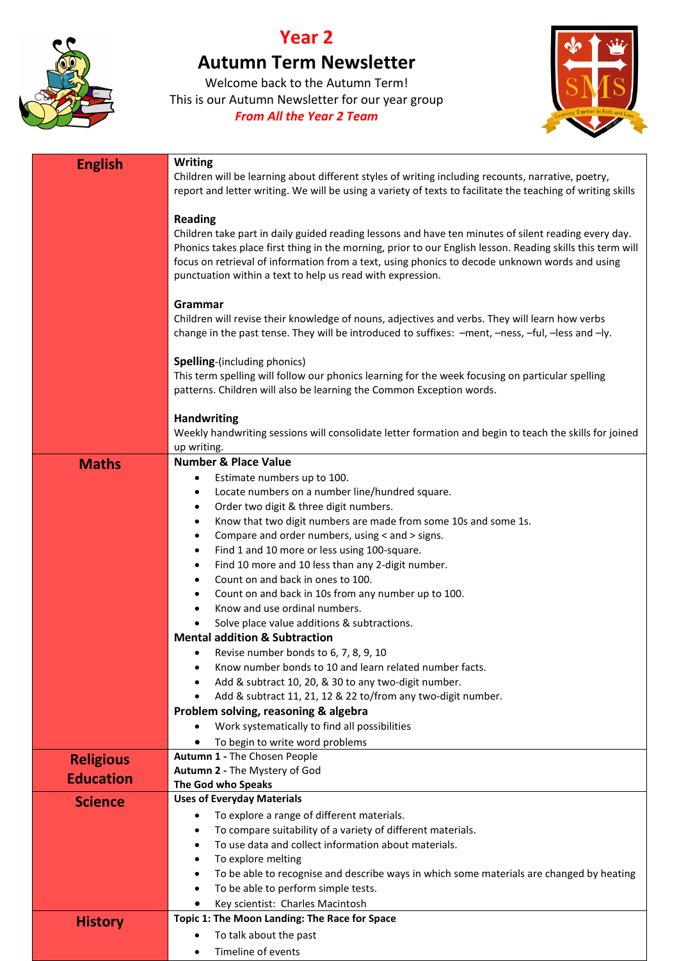

## **Year 2**

## **Autumn Term Newsletter**

Welcome back to the Autumn Term! This is our Autumn Newsletter for our year group *From All the Year 2 Team*



| <b>English</b>   | <b>Writing</b><br>Children will be learning about different styles of writing including recounts, narrative, poetry,<br>report and letter writing. We will be using a variety of texts to facilitate the teaching of writing skills                                                                                                                                                                  |
|------------------|------------------------------------------------------------------------------------------------------------------------------------------------------------------------------------------------------------------------------------------------------------------------------------------------------------------------------------------------------------------------------------------------------|
|                  | <b>Reading</b><br>Children take part in daily guided reading lessons and have ten minutes of silent reading every day.<br>Phonics takes place first thing in the morning, prior to our English lesson. Reading skills this term will<br>focus on retrieval of information from a text, using phonics to decode unknown words and using<br>punctuation within a text to help us read with expression. |
|                  | Grammar<br>Children will revise their knowledge of nouns, adjectives and verbs. They will learn how verbs<br>change in the past tense. They will be introduced to suffixes: - ment, -ness, -ful, -less and -ly.                                                                                                                                                                                      |
|                  | <b>Spelling-(including phonics)</b><br>This term spelling will follow our phonics learning for the week focusing on particular spelling<br>patterns. Children will also be learning the Common Exception words.                                                                                                                                                                                      |
|                  | <b>Handwriting</b><br>Weekly handwriting sessions will consolidate letter formation and begin to teach the skills for joined                                                                                                                                                                                                                                                                         |
|                  | up writing.                                                                                                                                                                                                                                                                                                                                                                                          |
| <b>Maths</b>     | <b>Number &amp; Place Value</b>                                                                                                                                                                                                                                                                                                                                                                      |
|                  | Estimate numbers up to 100.<br>٠                                                                                                                                                                                                                                                                                                                                                                     |
|                  | Locate numbers on a number line/hundred square.<br>٠                                                                                                                                                                                                                                                                                                                                                 |
|                  | Order two digit & three digit numbers.<br>$\bullet$                                                                                                                                                                                                                                                                                                                                                  |
|                  | Know that two digit numbers are made from some 10s and some 1s.<br>$\bullet$                                                                                                                                                                                                                                                                                                                         |
|                  | Compare and order numbers, using < and > signs.<br>$\bullet$                                                                                                                                                                                                                                                                                                                                         |
|                  | Find 1 and 10 more or less using 100-square.<br>$\bullet$                                                                                                                                                                                                                                                                                                                                            |
|                  | Find 10 more and 10 less than any 2-digit number.<br>$\bullet$                                                                                                                                                                                                                                                                                                                                       |
|                  | Count on and back in ones to 100.                                                                                                                                                                                                                                                                                                                                                                    |
|                  | Count on and back in 10s from any number up to 100.<br>Know and use ordinal numbers.                                                                                                                                                                                                                                                                                                                 |
|                  | Solve place value additions & subtractions.                                                                                                                                                                                                                                                                                                                                                          |
|                  | <b>Mental addition &amp; Subtraction</b>                                                                                                                                                                                                                                                                                                                                                             |
|                  | Revise number bonds to 6, 7, 8, 9, 10<br>٠                                                                                                                                                                                                                                                                                                                                                           |
|                  | Know number bonds to 10 and learn related number facts.                                                                                                                                                                                                                                                                                                                                              |
|                  | Add & subtract 10, 20, & 30 to any two-digit number.                                                                                                                                                                                                                                                                                                                                                 |
|                  | Add & subtract 11, 21, 12 & 22 to/from any two-digit number.                                                                                                                                                                                                                                                                                                                                         |
|                  | Problem solving, reasoning & algebra                                                                                                                                                                                                                                                                                                                                                                 |
|                  | Work systematically to find all possibilities                                                                                                                                                                                                                                                                                                                                                        |
|                  | To begin to write word problems                                                                                                                                                                                                                                                                                                                                                                      |
| <b>Religious</b> | Autumn 1 - The Chosen People                                                                                                                                                                                                                                                                                                                                                                         |
| <b>Education</b> | Autumn 2 - The Mystery of God                                                                                                                                                                                                                                                                                                                                                                        |
|                  | The God who Speaks                                                                                                                                                                                                                                                                                                                                                                                   |
| <b>Science</b>   | <b>Uses of Everyday Materials</b>                                                                                                                                                                                                                                                                                                                                                                    |
|                  | To explore a range of different materials.                                                                                                                                                                                                                                                                                                                                                           |
|                  | To compare suitability of a variety of different materials.<br>To use data and collect information about materials.                                                                                                                                                                                                                                                                                  |
|                  | To explore melting<br>٠                                                                                                                                                                                                                                                                                                                                                                              |
|                  | To be able to recognise and describe ways in which some materials are changed by heating                                                                                                                                                                                                                                                                                                             |
|                  | To be able to perform simple tests.                                                                                                                                                                                                                                                                                                                                                                  |
|                  | Key scientist: Charles Macintosh                                                                                                                                                                                                                                                                                                                                                                     |
| <b>History</b>   | Topic 1: The Moon Landing: The Race for Space                                                                                                                                                                                                                                                                                                                                                        |
|                  | To talk about the past                                                                                                                                                                                                                                                                                                                                                                               |
|                  | Timeline of events                                                                                                                                                                                                                                                                                                                                                                                   |